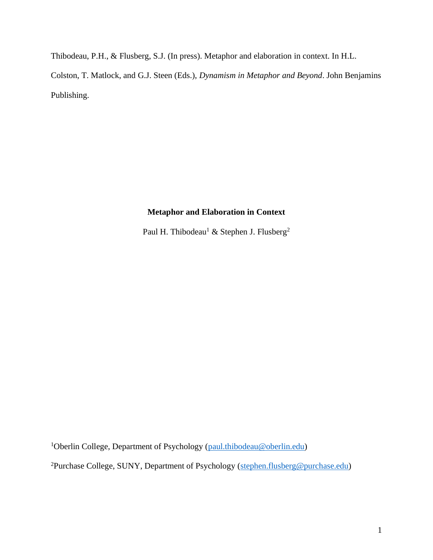Thibodeau, P.H., & Flusberg, S.J. (In press). Metaphor and elaboration in context. In H.L. Colston, T. Matlock, and G.J. Steen (Eds.), *Dynamism in Metaphor and Beyond*. John Benjamins Publishing.

# **Metaphor and Elaboration in Context**

Paul H. Thibodeau<sup>1</sup> & Stephen J. Flusberg<sup>2</sup>

<sup>1</sup>Oberlin College, Department of Psychology [\(paul.thibodeau@oberlin.edu\)](mailto:paul.thibodeau@oberlin.edu)

<sup>2</sup>Purchase College, SUNY, Department of Psychology [\(stephen.flusberg@purchase.edu\)](mailto:stephen.flusberg@purchase.edu)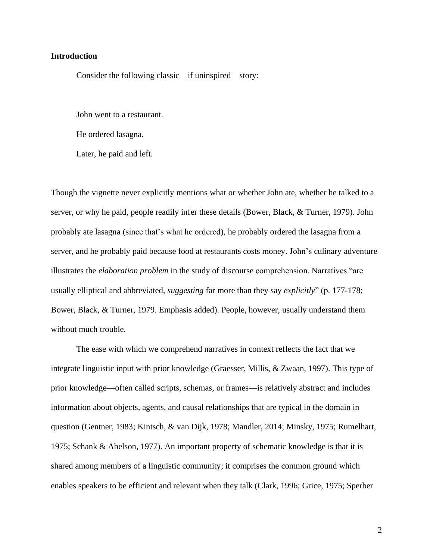## **Introduction**

Consider the following classic—if uninspired—story:

John went to a restaurant.

He ordered lasagna.

Later, he paid and left.

Though the vignette never explicitly mentions what or whether John ate, whether he talked to a server, or why he paid, people readily infer these details (Bower, Black, & Turner, 1979). John probably ate lasagna (since that's what he ordered), he probably ordered the lasagna from a server, and he probably paid because food at restaurants costs money. John's culinary adventure illustrates the *elaboration problem* in the study of discourse comprehension. Narratives "are usually elliptical and abbreviated, *suggesting* far more than they say *explicitly*" (p. 177-178; Bower, Black, & Turner, 1979. Emphasis added). People, however, usually understand them without much trouble.

The ease with which we comprehend narratives in context reflects the fact that we integrate linguistic input with prior knowledge (Graesser, Millis, & Zwaan, 1997). This type of prior knowledge––often called scripts, schemas, or frames––is relatively abstract and includes information about objects, agents, and causal relationships that are typical in the domain in question (Gentner, 1983; Kintsch, & van Dijk, 1978; Mandler, 2014; Minsky, 1975; Rumelhart, 1975; Schank & Abelson, 1977). An important property of schematic knowledge is that it is shared among members of a linguistic community; it comprises the common ground which enables speakers to be efficient and relevant when they talk (Clark, 1996; Grice, 1975; Sperber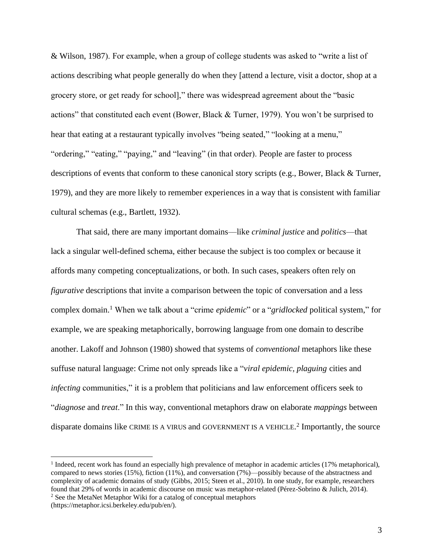& Wilson, 1987). For example, when a group of college students was asked to "write a list of actions describing what people generally do when they [attend a lecture, visit a doctor, shop at a grocery store, or get ready for school]," there was widespread agreement about the "basic actions" that constituted each event (Bower, Black & Turner, 1979). You won't be surprised to hear that eating at a restaurant typically involves "being seated," "looking at a menu," "ordering," "eating," "paying," and "leaving" (in that order). People are faster to process descriptions of events that conform to these canonical story scripts (e.g., Bower, Black & Turner, 1979), and they are more likely to remember experiences in a way that is consistent with familiar cultural schemas (e.g., Bartlett, 1932).

That said, there are many important domains––like *criminal justice* and *politics*––that lack a singular well-defined schema, either because the subject is too complex or because it affords many competing conceptualizations, or both. In such cases, speakers often rely on *figurative* descriptions that invite a comparison between the topic of conversation and a less complex domain. <sup>1</sup> When we talk about a "crime *epidemic*" or a "*gridlocked* political system," for example, we are speaking metaphorically, borrowing language from one domain to describe another. Lakoff and Johnson (1980) showed that systems of *conventional* metaphors like these suffuse natural language: Crime not only spreads like a "*viral epidemic, plaguing* cities and *infecting* communities," it is a problem that politicians and law enforcement officers seek to "*diagnose* and *treat*." In this way, conventional metaphors draw on elaborate *mappings* between disparate domains like CRIME IS A VIRUS and GOVERNMENT IS A VEHICLE.<sup>2</sup> Importantly, the source

<sup>&</sup>lt;sup>1</sup> Indeed, recent work has found an especially high prevalence of metaphor in academic articles (17% metaphorical), compared to news stories (15%), fiction (11%), and conversation (7%)––possibly because of the abstractness and complexity of academic domains of study (Gibbs, 2015; Steen et al., 2010). In one study, for example, researchers found that 29% of words in academic discourse on music was metaphor-related (Pérez-Sobrino & Julich, 2014). <sup>2</sup> See the MetaNet Metaphor Wiki for a catalog of conceptual metaphors

<sup>(</sup>https://metaphor.icsi.berkeley.edu/pub/en/).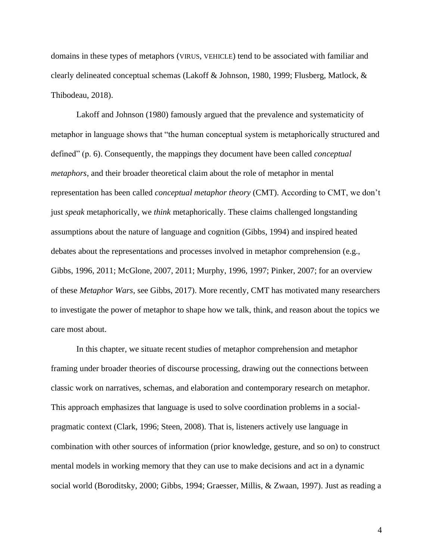domains in these types of metaphors (VIRUS, VEHICLE) tend to be associated with familiar and clearly delineated conceptual schemas (Lakoff & Johnson, 1980, 1999; Flusberg, Matlock, & Thibodeau, 2018).

Lakoff and Johnson (1980) famously argued that the prevalence and systematicity of metaphor in language shows that "the human conceptual system is metaphorically structured and defined" (p. 6). Consequently, the mappings they document have been called *conceptual metaphors*, and their broader theoretical claim about the role of metaphor in mental representation has been called *conceptual metaphor theory* (CMT). According to CMT, we don't just *speak* metaphorically, we *think* metaphorically. These claims challenged longstanding assumptions about the nature of language and cognition (Gibbs, 1994) and inspired heated debates about the representations and processes involved in metaphor comprehension (e.g., Gibbs, 1996, 2011; McGlone, 2007, 2011; Murphy, 1996, 1997; Pinker, 2007; for an overview of these *Metaphor Wars*, see Gibbs, 2017). More recently, CMT has motivated many researchers to investigate the power of metaphor to shape how we talk, think, and reason about the topics we care most about.

In this chapter, we situate recent studies of metaphor comprehension and metaphor framing under broader theories of discourse processing, drawing out the connections between classic work on narratives, schemas, and elaboration and contemporary research on metaphor. This approach emphasizes that language is used to solve coordination problems in a socialpragmatic context (Clark, 1996; Steen, 2008). That is, listeners actively use language in combination with other sources of information (prior knowledge, gesture, and so on) to construct mental models in working memory that they can use to make decisions and act in a dynamic social world (Boroditsky, 2000; Gibbs, 1994; Graesser, Millis, & Zwaan, 1997). Just as reading a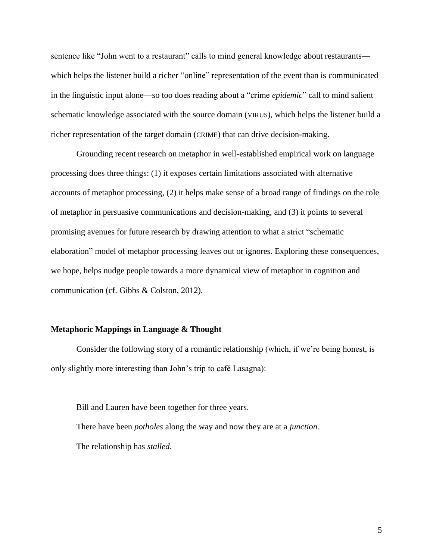sentence like "John went to a restaurant" calls to mind general knowledge about restaurants which helps the listener build a richer "online" representation of the event than is communicated in the linguistic input alone––so too does reading about a "crime *epidemic*" call to mind salient schematic knowledge associated with the source domain (VIRUS), which helps the listener build a richer representation of the target domain (CRIME) that can drive decision-making.

Grounding recent research on metaphor in well-established empirical work on language processing does three things: (1) it exposes certain limitations associated with alternative accounts of metaphor processing, (2) it helps make sense of a broad range of findings on the role of metaphor in persuasive communications and decision-making, and (3) it points to several promising avenues for future research by drawing attention to what a strict "schematic elaboration" model of metaphor processing leaves out or ignores. Exploring these consequences, we hope, helps nudge people towards a more dynamical view of metaphor in cognition and communication (cf. Gibbs & Colston, 2012).

#### **Metaphoric Mappings in Language & Thought**

Consider the following story of a romantic relationship (which, if we're being honest, is only slightly more interesting than John's trip to café Lasagna):

Bill and Lauren have been together for three years. There have been *potholes* along the way and now they are at a *junction*. The relationship has *stalled*.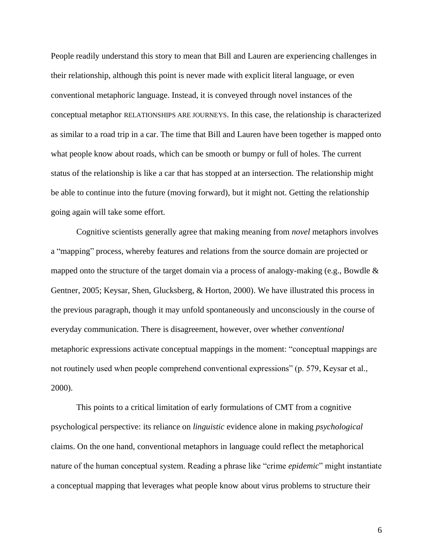People readily understand this story to mean that Bill and Lauren are experiencing challenges in their relationship, although this point is never made with explicit literal language, or even conventional metaphoric language. Instead, it is conveyed through novel instances of the conceptual metaphor RELATIONSHIPS ARE JOURNEYS. In this case, the relationship is characterized as similar to a road trip in a car. The time that Bill and Lauren have been together is mapped onto what people know about roads, which can be smooth or bumpy or full of holes. The current status of the relationship is like a car that has stopped at an intersection. The relationship might be able to continue into the future (moving forward), but it might not. Getting the relationship going again will take some effort.

Cognitive scientists generally agree that making meaning from *novel* metaphors involves a "mapping" process, whereby features and relations from the source domain are projected or mapped onto the structure of the target domain via a process of analogy-making (e.g., Bowdle  $\&$ Gentner, 2005; Keysar, Shen, Glucksberg, & Horton, 2000). We have illustrated this process in the previous paragraph, though it may unfold spontaneously and unconsciously in the course of everyday communication. There is disagreement, however, over whether *conventional* metaphoric expressions activate conceptual mappings in the moment: "conceptual mappings are not routinely used when people comprehend conventional expressions" (p. 579, Keysar et al., 2000).

This points to a critical limitation of early formulations of CMT from a cognitive psychological perspective: its reliance on *linguistic* evidence alone in making *psychological* claims. On the one hand, conventional metaphors in language could reflect the metaphorical nature of the human conceptual system. Reading a phrase like "crime *epidemic*" might instantiate a conceptual mapping that leverages what people know about virus problems to structure their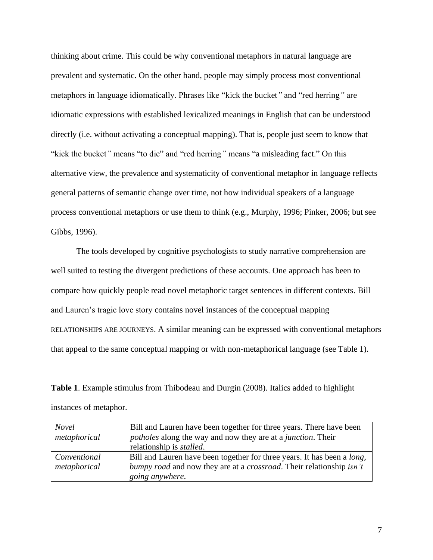thinking about crime. This could be why conventional metaphors in natural language are prevalent and systematic. On the other hand, people may simply process most conventional metaphors in language idiomatically. Phrases like "kick the bucket*"* and "red herring*"* are idiomatic expressions with established lexicalized meanings in English that can be understood directly (i.e. without activating a conceptual mapping). That is, people just seem to know that "kick the bucket*"* means "to die" and "red herring*"* means "a misleading fact." On this alternative view, the prevalence and systematicity of conventional metaphor in language reflects general patterns of semantic change over time, not how individual speakers of a language process conventional metaphors or use them to think (e.g., Murphy, 1996; Pinker, 2006; but see Gibbs, 1996).

The tools developed by cognitive psychologists to study narrative comprehension are well suited to testing the divergent predictions of these accounts. One approach has been to compare how quickly people read novel metaphoric target sentences in different contexts. Bill and Lauren's tragic love story contains novel instances of the conceptual mapping RELATIONSHIPS ARE JOURNEYS. A similar meaning can be expressed with conventional metaphors that appeal to the same conceptual mapping or with non-metaphorical language (see Table 1).

**Table 1**. Example stimulus from Thibodeau and Durgin (2008). Italics added to highlight instances of metaphor.

| <b>Novel</b> | Bill and Lauren have been together for three years. There have been             |
|--------------|---------------------------------------------------------------------------------|
| metaphorical | <i>potholes</i> along the way and now they are at a <i>junction</i> . Their     |
|              | relationship is <i>stalled</i> .                                                |
| Conventional | Bill and Lauren have been together for three years. It has been a <i>long</i> , |
| metaphorical | bumpy road and now they are at a crossroad. Their relationship isn't            |
|              | going anywhere.                                                                 |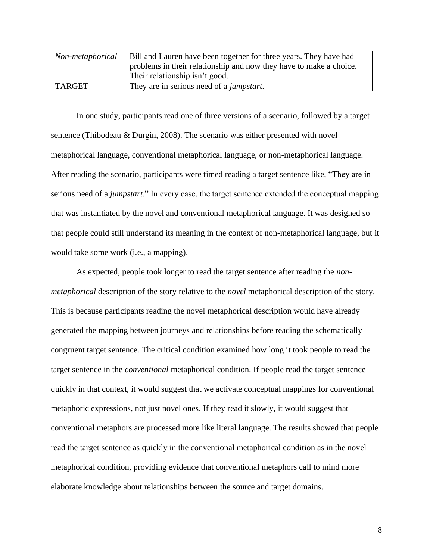| Non-metaphorical | Bill and Lauren have been together for three years. They have had  |
|------------------|--------------------------------------------------------------------|
|                  | problems in their relationship and now they have to make a choice. |
|                  | Their relationship isn't good.                                     |
| TARGET           | They are in serious need of a <i>jumpstart</i> .                   |

In one study, participants read one of three versions of a scenario, followed by a target sentence (Thibodeau & Durgin, 2008). The scenario was either presented with novel metaphorical language, conventional metaphorical language, or non-metaphorical language. After reading the scenario, participants were timed reading a target sentence like, "They are in serious need of a *jumpstart*." In every case, the target sentence extended the conceptual mapping that was instantiated by the novel and conventional metaphorical language. It was designed so that people could still understand its meaning in the context of non-metaphorical language, but it would take some work (i.e., a mapping).

As expected, people took longer to read the target sentence after reading the *nonmetaphorical* description of the story relative to the *novel* metaphorical description of the story. This is because participants reading the novel metaphorical description would have already generated the mapping between journeys and relationships before reading the schematically congruent target sentence. The critical condition examined how long it took people to read the target sentence in the *conventional* metaphorical condition. If people read the target sentence quickly in that context, it would suggest that we activate conceptual mappings for conventional metaphoric expressions, not just novel ones. If they read it slowly, it would suggest that conventional metaphors are processed more like literal language. The results showed that people read the target sentence as quickly in the conventional metaphorical condition as in the novel metaphorical condition, providing evidence that conventional metaphors call to mind more elaborate knowledge about relationships between the source and target domains.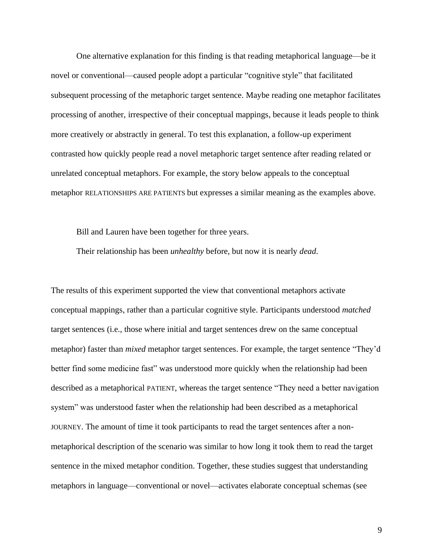One alternative explanation for this finding is that reading metaphorical language––be it novel or conventional––caused people adopt a particular "cognitive style" that facilitated subsequent processing of the metaphoric target sentence. Maybe reading one metaphor facilitates processing of another, irrespective of their conceptual mappings, because it leads people to think more creatively or abstractly in general. To test this explanation, a follow-up experiment contrasted how quickly people read a novel metaphoric target sentence after reading related or unrelated conceptual metaphors. For example, the story below appeals to the conceptual metaphor RELATIONSHIPS ARE PATIENTS but expresses a similar meaning as the examples above.

Bill and Lauren have been together for three years.

Their relationship has been *unhealthy* before, but now it is nearly *dead*.

The results of this experiment supported the view that conventional metaphors activate conceptual mappings, rather than a particular cognitive style. Participants understood *matched* target sentences (i.e., those where initial and target sentences drew on the same conceptual metaphor) faster than *mixed* metaphor target sentences. For example, the target sentence "They'd better find some medicine fast" was understood more quickly when the relationship had been described as a metaphorical PATIENT, whereas the target sentence "They need a better navigation system" was understood faster when the relationship had been described as a metaphorical JOURNEY. The amount of time it took participants to read the target sentences after a nonmetaphorical description of the scenario was similar to how long it took them to read the target sentence in the mixed metaphor condition. Together, these studies suggest that understanding metaphors in language––conventional or novel––activates elaborate conceptual schemas (see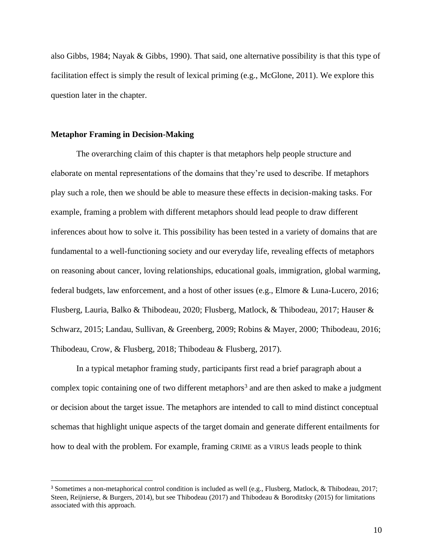also Gibbs, 1984; Nayak & Gibbs, 1990). That said, one alternative possibility is that this type of facilitation effect is simply the result of lexical priming (e.g., McGlone, 2011). We explore this question later in the chapter.

#### **Metaphor Framing in Decision-Making**

The overarching claim of this chapter is that metaphors help people structure and elaborate on mental representations of the domains that they're used to describe. If metaphors play such a role, then we should be able to measure these effects in decision-making tasks. For example, framing a problem with different metaphors should lead people to draw different inferences about how to solve it. This possibility has been tested in a variety of domains that are fundamental to a well-functioning society and our everyday life, revealing effects of metaphors on reasoning about cancer, loving relationships, educational goals, immigration, global warming, federal budgets, law enforcement, and a host of other issues (e.g., Elmore & Luna-Lucero, 2016; Flusberg, Lauria, Balko & Thibodeau, 2020; Flusberg, Matlock, & Thibodeau, 2017; Hauser & Schwarz, 2015; Landau, Sullivan, & Greenberg, 2009; Robins & Mayer, 2000; Thibodeau, 2016; Thibodeau, Crow, & Flusberg, 2018; Thibodeau & Flusberg, 2017).

In a typical metaphor framing study, participants first read a brief paragraph about a complex topic containing one of two different metaphors<sup>3</sup> and are then asked to make a judgment or decision about the target issue. The metaphors are intended to call to mind distinct conceptual schemas that highlight unique aspects of the target domain and generate different entailments for how to deal with the problem. For example, framing CRIME as a VIRUS leads people to think

<sup>3</sup> Sometimes a non-metaphorical control condition is included as well (e.g., Flusberg, Matlock, & Thibodeau, 2017; Steen, Reijnierse, & Burgers, 2014), but see Thibodeau (2017) and Thibodeau & Boroditsky (2015) for limitations associated with this approach.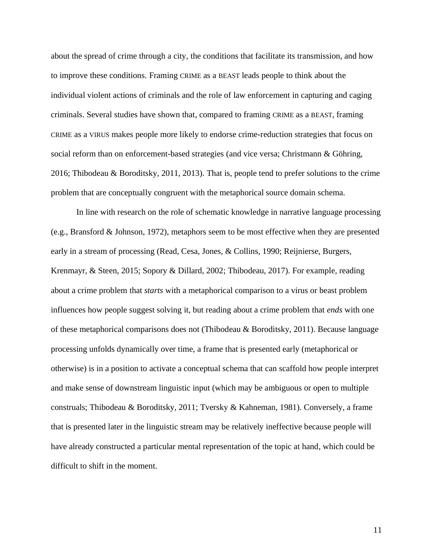about the spread of crime through a city, the conditions that facilitate its transmission, and how to improve these conditions. Framing CRIME as a BEAST leads people to think about the individual violent actions of criminals and the role of law enforcement in capturing and caging criminals. Several studies have shown that, compared to framing CRIME as a BEAST, framing CRIME as a VIRUS makes people more likely to endorse crime-reduction strategies that focus on social reform than on enforcement-based strategies (and vice versa; Christmann & Göhring, 2016; Thibodeau & Boroditsky, 2011, 2013). That is, people tend to prefer solutions to the crime problem that are conceptually congruent with the metaphorical source domain schema.

In line with research on the role of schematic knowledge in narrative language processing (e.g., Bransford & Johnson, 1972), metaphors seem to be most effective when they are presented early in a stream of processing (Read, Cesa, Jones, & Collins, 1990; Reijnierse, Burgers, Krenmayr, & Steen, 2015; Sopory & Dillard, 2002; Thibodeau, 2017). For example, reading about a crime problem that *starts* with a metaphorical comparison to a virus or beast problem influences how people suggest solving it, but reading about a crime problem that *ends* with one of these metaphorical comparisons does not (Thibodeau & Boroditsky, 2011). Because language processing unfolds dynamically over time, a frame that is presented early (metaphorical or otherwise) is in a position to activate a conceptual schema that can scaffold how people interpret and make sense of downstream linguistic input (which may be ambiguous or open to multiple construals; Thibodeau & Boroditsky, 2011; Tversky & Kahneman, 1981). Conversely, a frame that is presented later in the linguistic stream may be relatively ineffective because people will have already constructed a particular mental representation of the topic at hand, which could be difficult to shift in the moment.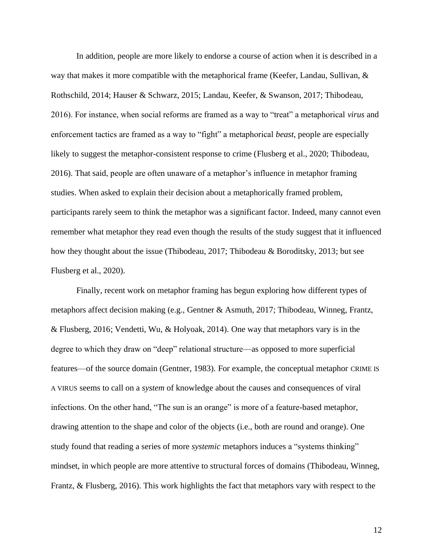In addition, people are more likely to endorse a course of action when it is described in a way that makes it more compatible with the metaphorical frame (Keefer, Landau, Sullivan, & Rothschild, 2014; Hauser & Schwarz, 2015; Landau, Keefer, & Swanson, 2017; Thibodeau, 2016). For instance, when social reforms are framed as a way to "treat" a metaphorical *virus* and enforcement tactics are framed as a way to "fight" a metaphorical *beast*, people are especially likely to suggest the metaphor-consistent response to crime (Flusberg et al., 2020; Thibodeau, 2016). That said, people are often unaware of a metaphor's influence in metaphor framing studies. When asked to explain their decision about a metaphorically framed problem, participants rarely seem to think the metaphor was a significant factor. Indeed, many cannot even remember what metaphor they read even though the results of the study suggest that it influenced how they thought about the issue (Thibodeau, 2017; Thibodeau & Boroditsky, 2013; but see Flusberg et al., 2020).

Finally, recent work on metaphor framing has begun exploring how different types of metaphors affect decision making (e.g., Gentner & Asmuth, 2017; Thibodeau, Winneg, Frantz, & Flusberg, 2016; Vendetti, Wu, & Holyoak, 2014). One way that metaphors vary is in the degree to which they draw on "deep" relational structure––as opposed to more superficial features––of the source domain (Gentner, 1983). For example, the conceptual metaphor CRIME IS A VIRUS seems to call on a *system* of knowledge about the causes and consequences of viral infections. On the other hand, "The sun is an orange" is more of a feature-based metaphor, drawing attention to the shape and color of the objects (i.e., both are round and orange). One study found that reading a series of more *systemic* metaphors induces a "systems thinking" mindset, in which people are more attentive to structural forces of domains (Thibodeau, Winneg, Frantz, & Flusberg, 2016). This work highlights the fact that metaphors vary with respect to the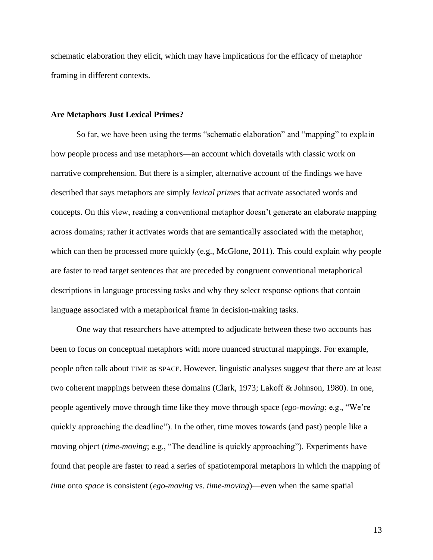schematic elaboration they elicit, which may have implications for the efficacy of metaphor framing in different contexts.

#### **Are Metaphors Just Lexical Primes?**

So far, we have been using the terms "schematic elaboration" and "mapping" to explain how people process and use metaphors—an account which dovetails with classic work on narrative comprehension. But there is a simpler, alternative account of the findings we have described that says metaphors are simply *lexical primes* that activate associated words and concepts. On this view, reading a conventional metaphor doesn't generate an elaborate mapping across domains; rather it activates words that are semantically associated with the metaphor, which can then be processed more quickly (e.g., McGlone, 2011). This could explain why people are faster to read target sentences that are preceded by congruent conventional metaphorical descriptions in language processing tasks and why they select response options that contain language associated with a metaphorical frame in decision-making tasks.

One way that researchers have attempted to adjudicate between these two accounts has been to focus on conceptual metaphors with more nuanced structural mappings. For example, people often talk about TIME as SPACE. However, linguistic analyses suggest that there are at least two coherent mappings between these domains (Clark, 1973; Lakoff & Johnson, 1980). In one, people agentively move through time like they move through space (*ego-moving*; e.g., "We're quickly approaching the deadline"). In the other, time moves towards (and past) people like a moving object (*time-moving*; e.g., "The deadline is quickly approaching"). Experiments have found that people are faster to read a series of spatiotemporal metaphors in which the mapping of *time* onto *space* is consistent (*ego-moving* vs. *time-moving*)—even when the same spatial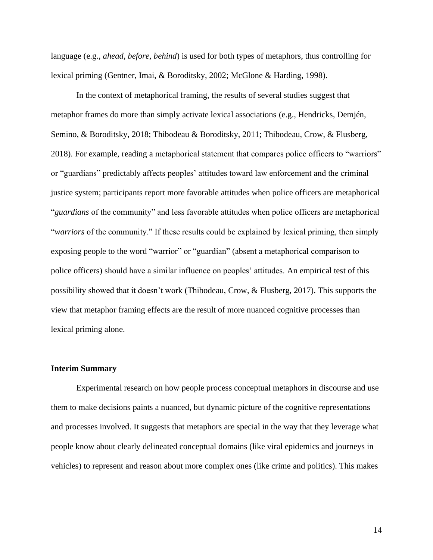language (e.g., *ahead, before, behind*) is used for both types of metaphors, thus controlling for lexical priming (Gentner, Imai, & Boroditsky, 2002; McGlone & Harding, 1998).

In the context of metaphorical framing, the results of several studies suggest that metaphor frames do more than simply activate lexical associations (e.g., Hendricks, Demjén, Semino, & Boroditsky, 2018; Thibodeau & Boroditsky, 2011; Thibodeau, Crow, & Flusberg, 2018). For example, reading a metaphorical statement that compares police officers to "warriors" or "guardians" predictably affects peoples' attitudes toward law enforcement and the criminal justice system; participants report more favorable attitudes when police officers are metaphorical "*guardians* of the community" and less favorable attitudes when police officers are metaphorical "*warriors* of the community." If these results could be explained by lexical priming, then simply exposing people to the word "warrior" or "guardian" (absent a metaphorical comparison to police officers) should have a similar influence on peoples' attitudes. An empirical test of this possibility showed that it doesn't work (Thibodeau, Crow, & Flusberg, 2017). This supports the view that metaphor framing effects are the result of more nuanced cognitive processes than lexical priming alone.

## **Interim Summary**

Experimental research on how people process conceptual metaphors in discourse and use them to make decisions paints a nuanced, but dynamic picture of the cognitive representations and processes involved. It suggests that metaphors are special in the way that they leverage what people know about clearly delineated conceptual domains (like viral epidemics and journeys in vehicles) to represent and reason about more complex ones (like crime and politics). This makes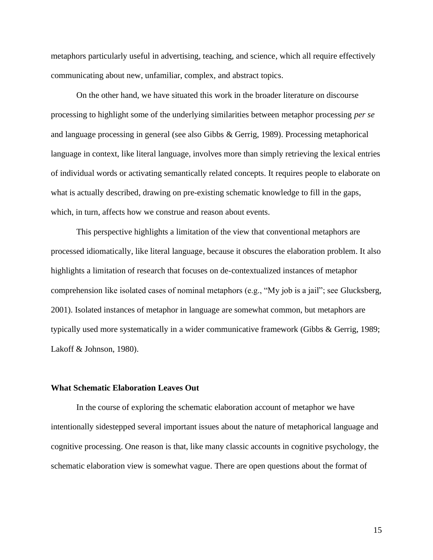metaphors particularly useful in advertising, teaching, and science, which all require effectively communicating about new, unfamiliar, complex, and abstract topics.

On the other hand, we have situated this work in the broader literature on discourse processing to highlight some of the underlying similarities between metaphor processing *per se* and language processing in general (see also Gibbs & Gerrig, 1989). Processing metaphorical language in context, like literal language, involves more than simply retrieving the lexical entries of individual words or activating semantically related concepts. It requires people to elaborate on what is actually described, drawing on pre-existing schematic knowledge to fill in the gaps, which, in turn, affects how we construe and reason about events.

This perspective highlights a limitation of the view that conventional metaphors are processed idiomatically, like literal language, because it obscures the elaboration problem. It also highlights a limitation of research that focuses on de-contextualized instances of metaphor comprehension like isolated cases of nominal metaphors (e.g., "My job is a jail"; see Glucksberg, 2001). Isolated instances of metaphor in language are somewhat common, but metaphors are typically used more systematically in a wider communicative framework (Gibbs & Gerrig, 1989; Lakoff & Johnson, 1980).

## **What Schematic Elaboration Leaves Out**

In the course of exploring the schematic elaboration account of metaphor we have intentionally sidestepped several important issues about the nature of metaphorical language and cognitive processing. One reason is that, like many classic accounts in cognitive psychology, the schematic elaboration view is somewhat vague. There are open questions about the format of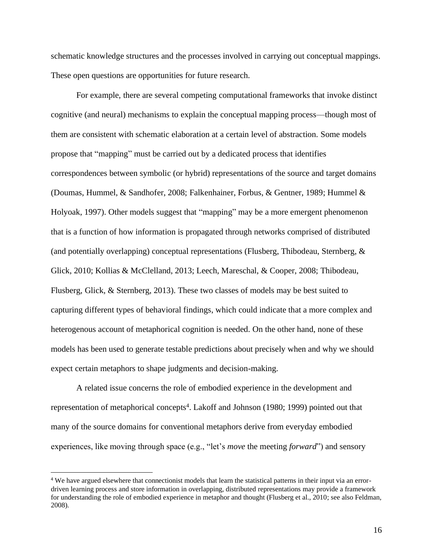schematic knowledge structures and the processes involved in carrying out conceptual mappings. These open questions are opportunities for future research.

For example, there are several competing computational frameworks that invoke distinct cognitive (and neural) mechanisms to explain the conceptual mapping process––though most of them are consistent with schematic elaboration at a certain level of abstraction. Some models propose that "mapping" must be carried out by a dedicated process that identifies correspondences between symbolic (or hybrid) representations of the source and target domains (Doumas, Hummel, & Sandhofer, 2008; Falkenhainer, Forbus, & Gentner, 1989; Hummel & Holyoak, 1997). Other models suggest that "mapping" may be a more emergent phenomenon that is a function of how information is propagated through networks comprised of distributed (and potentially overlapping) conceptual representations (Flusberg, Thibodeau, Sternberg, & Glick, 2010; Kollias & McClelland, 2013; Leech, Mareschal, & Cooper, 2008; Thibodeau, Flusberg, Glick, & Sternberg, 2013). These two classes of models may be best suited to capturing different types of behavioral findings, which could indicate that a more complex and heterogenous account of metaphorical cognition is needed. On the other hand, none of these models has been used to generate testable predictions about precisely when and why we should expect certain metaphors to shape judgments and decision-making.

A related issue concerns the role of embodied experience in the development and representation of metaphorical concepts<sup>4</sup>. Lakoff and Johnson (1980; 1999) pointed out that many of the source domains for conventional metaphors derive from everyday embodied experiences, like moving through space (e.g., "let's *move* the meeting *forward*") and sensory

<sup>&</sup>lt;sup>4</sup> We have argued elsewhere that connectionist models that learn the statistical patterns in their input via an errordriven learning process and store information in overlapping, distributed representations may provide a framework for understanding the role of embodied experience in metaphor and thought (Flusberg et al., 2010; see also Feldman, 2008).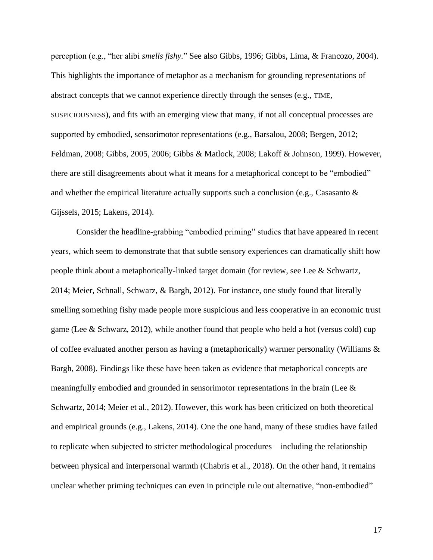perception (e.g., "her alibi *smells fishy.*" See also Gibbs, 1996; Gibbs, Lima, & Francozo, 2004). This highlights the importance of metaphor as a mechanism for grounding representations of abstract concepts that we cannot experience directly through the senses (e.g., TIME, SUSPICIOUSNESS), and fits with an emerging view that many, if not all conceptual processes are supported by embodied, sensorimotor representations (e.g., Barsalou, 2008; Bergen, 2012; Feldman, 2008; Gibbs, 2005, 2006; Gibbs & Matlock, 2008; Lakoff & Johnson, 1999). However, there are still disagreements about what it means for a metaphorical concept to be "embodied" and whether the empirical literature actually supports such a conclusion (e.g., Casasanto & Gijssels, 2015; Lakens, 2014).

Consider the headline-grabbing "embodied priming" studies that have appeared in recent years, which seem to demonstrate that that subtle sensory experiences can dramatically shift how people think about a metaphorically-linked target domain (for review, see Lee & Schwartz, 2014; Meier, Schnall, Schwarz, & Bargh, 2012). For instance, one study found that literally smelling something fishy made people more suspicious and less cooperative in an economic trust game (Lee & Schwarz, 2012), while another found that people who held a hot (versus cold) cup of coffee evaluated another person as having a (metaphorically) warmer personality (Williams  $\&$ Bargh, 2008). Findings like these have been taken as evidence that metaphorical concepts are meaningfully embodied and grounded in sensorimotor representations in the brain (Lee & Schwartz, 2014; Meier et al., 2012). However, this work has been criticized on both theoretical and empirical grounds (e.g., Lakens, 2014). One the one hand, many of these studies have failed to replicate when subjected to stricter methodological procedures––including the relationship between physical and interpersonal warmth (Chabris et al., 2018). On the other hand, it remains unclear whether priming techniques can even in principle rule out alternative, "non-embodied"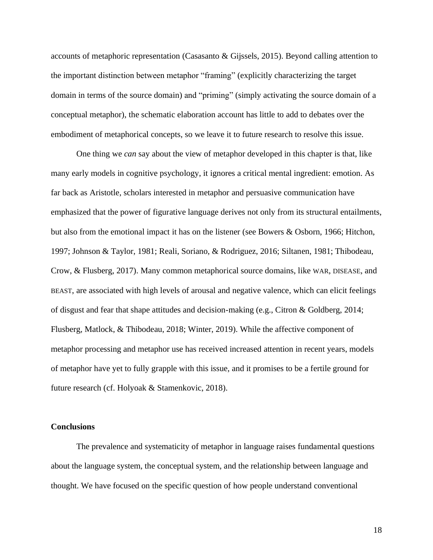accounts of metaphoric representation (Casasanto & Gijssels, 2015). Beyond calling attention to the important distinction between metaphor "framing" (explicitly characterizing the target domain in terms of the source domain) and "priming" (simply activating the source domain of a conceptual metaphor), the schematic elaboration account has little to add to debates over the embodiment of metaphorical concepts, so we leave it to future research to resolve this issue.

One thing we *can* say about the view of metaphor developed in this chapter is that, like many early models in cognitive psychology, it ignores a critical mental ingredient: emotion. As far back as Aristotle, scholars interested in metaphor and persuasive communication have emphasized that the power of figurative language derives not only from its structural entailments, but also from the emotional impact it has on the listener (see Bowers & Osborn, 1966; Hitchon, 1997; Johnson & Taylor, 1981; Reali, Soriano, & Rodriguez, 2016; Siltanen, 1981; Thibodeau, Crow, & Flusberg, 2017). Many common metaphorical source domains, like WAR, DISEASE, and BEAST, are associated with high levels of arousal and negative valence, which can elicit feelings of disgust and fear that shape attitudes and decision-making (e.g., Citron & Goldberg, 2014; Flusberg, Matlock, & Thibodeau, 2018; Winter, 2019). While the affective component of metaphor processing and metaphor use has received increased attention in recent years, models of metaphor have yet to fully grapple with this issue, and it promises to be a fertile ground for future research (cf. Holyoak & Stamenkovic, 2018).

# **Conclusions**

The prevalence and systematicity of metaphor in language raises fundamental questions about the language system, the conceptual system, and the relationship between language and thought. We have focused on the specific question of how people understand conventional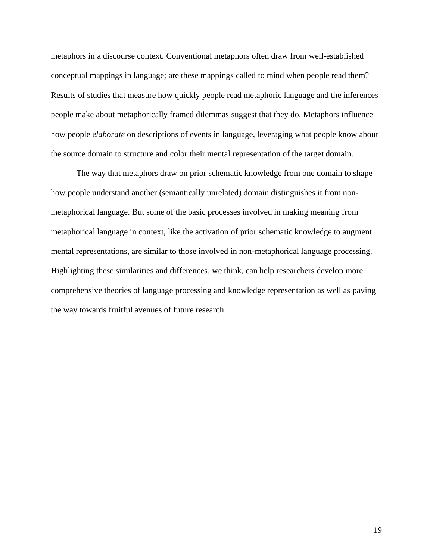metaphors in a discourse context. Conventional metaphors often draw from well-established conceptual mappings in language; are these mappings called to mind when people read them? Results of studies that measure how quickly people read metaphoric language and the inferences people make about metaphorically framed dilemmas suggest that they do. Metaphors influence how people *elaborate* on descriptions of events in language, leveraging what people know about the source domain to structure and color their mental representation of the target domain.

The way that metaphors draw on prior schematic knowledge from one domain to shape how people understand another (semantically unrelated) domain distinguishes it from nonmetaphorical language. But some of the basic processes involved in making meaning from metaphorical language in context, like the activation of prior schematic knowledge to augment mental representations, are similar to those involved in non-metaphorical language processing. Highlighting these similarities and differences, we think, can help researchers develop more comprehensive theories of language processing and knowledge representation as well as paving the way towards fruitful avenues of future research.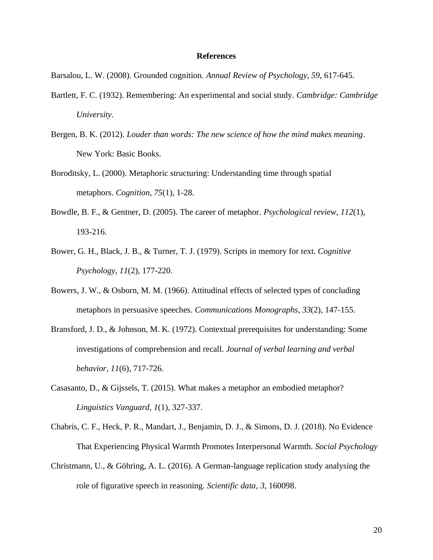## **References**

Barsalou, L. W. (2008). Grounded cognition. *Annual Review of Psychology*, *59*, 617-645.

- Bartlett, F. C. (1932). Remembering: An experimental and social study. *Cambridge: Cambridge University*.
- Bergen, B. K. (2012). *Louder than words: The new science of how the mind makes meaning*. New York: Basic Books.
- Boroditsky, L. (2000). Metaphoric structuring: Understanding time through spatial metaphors. *Cognition*, *75*(1), 1-28.
- Bowdle, B. F., & Gentner, D. (2005). The career of metaphor. *Psychological review*, *112*(1), 193-216.
- Bower, G. H., Black, J. B., & Turner, T. J. (1979). Scripts in memory for text. *Cognitive Psychology*, *11*(2), 177-220.
- Bowers, J. W., & Osborn, M. M. (1966). Attitudinal effects of selected types of concluding metaphors in persuasive speeches. *Communications Monographs*, *33*(2), 147-155.
- Bransford, J. D., & Johnson, M. K. (1972). Contextual prerequisites for understanding: Some investigations of comprehension and recall. *Journal of verbal learning and verbal behavior*, *11*(6), 717-726.
- Casasanto, D., & Gijssels, T. (2015). What makes a metaphor an embodied metaphor? *Linguistics Vanguard, 1*(1), 327-337.
- Chabris, C. F., Heck, P. R., Mandart, J., Benjamin, D. J., & Simons, D. J. (2018). No Evidence That Experiencing Physical Warmth Promotes Interpersonal Warmth. *Social Psychology*
- Christmann, U., & Göhring, A. L. (2016). A German-language replication study analysing the role of figurative speech in reasoning. *Scientific data*, *3*, 160098.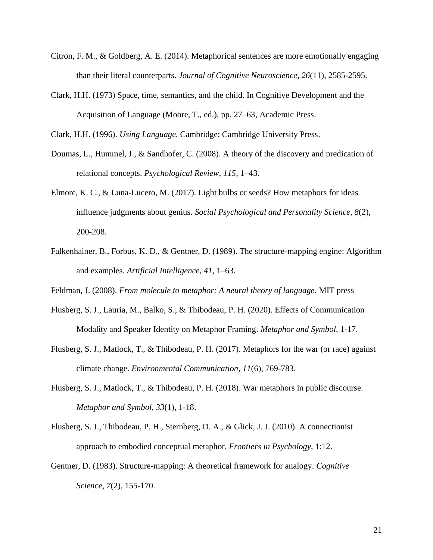- Citron, F. M., & Goldberg, A. E. (2014). Metaphorical sentences are more emotionally engaging than their literal counterparts. *Journal of Cognitive Neuroscience*, *26*(11), 2585-2595.
- Clark, H.H. (1973) Space, time, semantics, and the child. In Cognitive Development and the Acquisition of Language (Moore, T., ed.), pp. 27–63, Academic Press.

Clark, H.H. (1996). *Using Language.* Cambridge: Cambridge University Press.

- Doumas, L., Hummel, J., & Sandhofer, C. (2008). A theory of the discovery and predication of relational concepts. *Psychological Review, 115*, 1–43.
- Elmore, K. C., & Luna-Lucero, M. (2017). Light bulbs or seeds? How metaphors for ideas influence judgments about genius. *Social Psychological and Personality Science*, *8*(2), 200-208.
- Falkenhainer, B., Forbus, K. D., & Gentner, D. (1989). The structure-mapping engine: Algorithm and examples. *Artificial Intelligence, 41,* 1–63.
- Feldman, J. (2008). *From molecule to metaphor: A neural theory of language*. MIT press
- Flusberg, S. J., Lauria, M., Balko, S., & Thibodeau, P. H. (2020). Effects of Communication Modality and Speaker Identity on Metaphor Framing. *Metaphor and Symbol*, 1-17.
- Flusberg, S. J., Matlock, T., & Thibodeau, P. H. (2017). Metaphors for the war (or race) against climate change. *Environmental Communication*, *11*(6), 769-783.
- Flusberg, S. J., Matlock, T., & Thibodeau, P. H. (2018). War metaphors in public discourse. *Metaphor and Symbol, 33*(1), 1-18.
- Flusberg, S. J., Thibodeau, P. H., Sternberg, D. A., & Glick, J. J. (2010). A connectionist approach to embodied conceptual metaphor. *Frontiers in Psychology*, 1:12.
- Gentner, D. (1983). Structure-mapping: A theoretical framework for analogy. *Cognitive Science*, *7*(2), 155-170.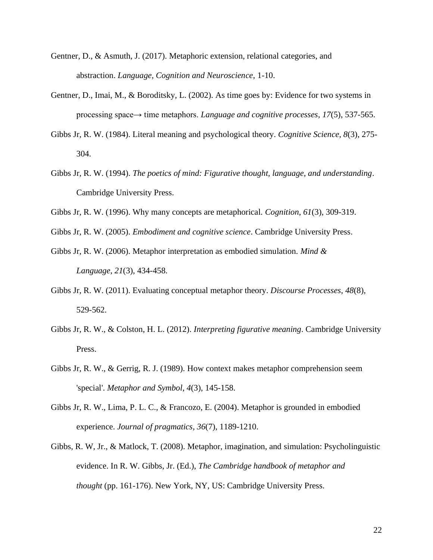- Gentner, D., & Asmuth, J. (2017). Metaphoric extension, relational categories, and abstraction. *Language, Cognition and Neuroscience*, 1-10.
- Gentner, D., Imai, M., & Boroditsky, L. (2002). As time goes by: Evidence for two systems in processing space→ time metaphors. *Language and cognitive processes*, *17*(5), 537-565.
- Gibbs Jr, R. W. (1984). Literal meaning and psychological theory. *Cognitive Science*, *8*(3), 275- 304.
- Gibbs Jr, R. W. (1994). *The poetics of mind: Figurative thought, language, and understanding*. Cambridge University Press.
- Gibbs Jr, R. W. (1996). Why many concepts are metaphorical. *Cognition*, *61*(3), 309-319.
- Gibbs Jr, R. W. (2005). *Embodiment and cognitive science*. Cambridge University Press.
- Gibbs Jr, R. W. (2006). Metaphor interpretation as embodied simulation. *Mind & Language*, *21*(3), 434-458.
- Gibbs Jr, R. W. (2011). Evaluating conceptual metaphor theory. *Discourse Processes*, *48*(8), 529-562.
- Gibbs Jr, R. W., & Colston, H. L. (2012). *Interpreting figurative meaning*. Cambridge University Press.
- Gibbs Jr, R. W., & Gerrig, R. J. (1989). How context makes metaphor comprehension seem 'special'. *Metaphor and Symbol*, *4*(3), 145-158.
- Gibbs Jr, R. W., Lima, P. L. C., & Francozo, E. (2004). Metaphor is grounded in embodied experience. *Journal of pragmatics*, *36*(7), 1189-1210.
- Gibbs, R. W, Jr., & Matlock, T. (2008). Metaphor, imagination, and simulation: Psycholinguistic evidence. In R. W. Gibbs, Jr. (Ed.), *The Cambridge handbook of metaphor and thought* (pp. 161-176). New York, NY, US: Cambridge University Press.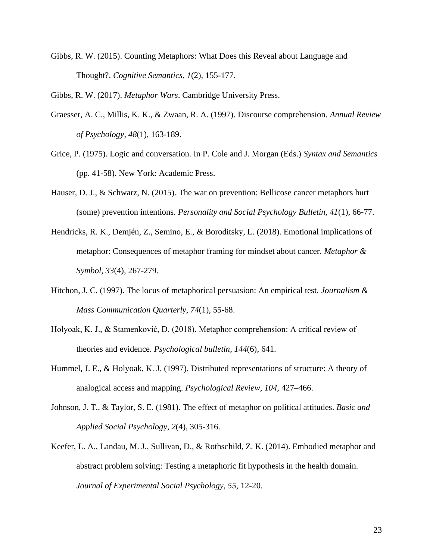Gibbs, R. W. (2015). Counting Metaphors: What Does this Reveal about Language and Thought?. *Cognitive Semantics*, *1*(2), 155-177.

Gibbs, R. W. (2017). *Metaphor Wars*. Cambridge University Press.

- Graesser, A. C., Millis, K. K., & Zwaan, R. A. (1997). Discourse comprehension. *Annual Review of Psychology*, *48*(1), 163-189.
- Grice, P. (1975). Logic and conversation. In P. Cole and J. Morgan (Eds.) *Syntax and Semantics* (pp. 41-58). New York: Academic Press.
- Hauser, D. J., & Schwarz, N. (2015). The war on prevention: Bellicose cancer metaphors hurt (some) prevention intentions. *Personality and Social Psychology Bulletin, 41*(1), 66-77.
- Hendricks, R. K., Demjén, Z., Semino, E., & Boroditsky, L. (2018). Emotional implications of metaphor: Consequences of metaphor framing for mindset about cancer. *Metaphor & Symbol, 33*(4), 267-279.
- Hitchon, J. C. (1997). The locus of metaphorical persuasion: An empirical test. *Journalism & Mass Communication Quarterly*, *74*(1), 55-68.
- Holyoak, K. J., & Stamenković, D. (2018). Metaphor comprehension: A critical review of theories and evidence. *Psychological bulletin*, *144*(6), 641.
- Hummel, J. E., & Holyoak, K. J. (1997). Distributed representations of structure: A theory of analogical access and mapping. *Psychological Review, 104,* 427–466.
- Johnson, J. T., & Taylor, S. E. (1981). The effect of metaphor on political attitudes. *Basic and Applied Social Psychology*, *2*(4), 305-316.
- Keefer, L. A., Landau, M. J., Sullivan, D., & Rothschild, Z. K. (2014). Embodied metaphor and abstract problem solving: Testing a metaphoric fit hypothesis in the health domain. *Journal of Experimental Social Psychology, 55,* 12-20.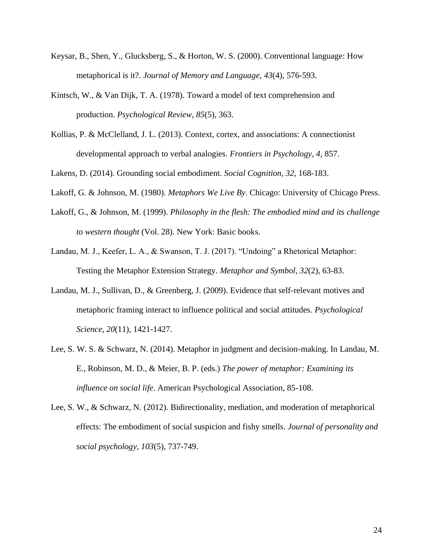- Keysar, B., Shen, Y., Glucksberg, S., & Horton, W. S. (2000). Conventional language: How metaphorical is it?. *Journal of Memory and Language*, *43*(4), 576-593.
- Kintsch, W., & Van Dijk, T. A. (1978). Toward a model of text comprehension and production. *Psychological Review*, *85*(5), 363.
- Kollias, P. & McClelland, J. L. (2013). Context, cortex, and associations: A connectionist developmental approach to verbal analogies. *Frontiers in Psychology, 4,* 857.

Lakens, D. (2014). Grounding social embodiment. *Social Cognition, 32,* 168-183.

- Lakoff, G. & Johnson, M. (1980). *Metaphors We Live By*. Chicago: University of Chicago Press.
- Lakoff, G., & Johnson, M. (1999). *Philosophy in the flesh: The embodied mind and its challenge to western thought* (Vol. 28). New York: Basic books.
- Landau, M. J., Keefer, L. A., & Swanson, T. J. (2017). "Undoing" a Rhetorical Metaphor: Testing the Metaphor Extension Strategy. *Metaphor and Symbol*, *32*(2), 63-83.
- Landau, M. J., Sullivan, D., & Greenberg, J. (2009). Evidence that self-relevant motives and metaphoric framing interact to influence political and social attitudes. *Psychological Science*, *20*(11), 1421-1427.
- Lee, S. W. S. & Schwarz, N. (2014). Metaphor in judgment and decision-making. In Landau, M. E., Robinson, M. D., & Meier, B. P. (eds.) *The power of metaphor: Examining its influence on social life*. American Psychological Association, 85-108.
- Lee, S. W., & Schwarz, N. (2012). Bidirectionality, mediation, and moderation of metaphorical effects: The embodiment of social suspicion and fishy smells. *Journal of personality and social psychology*, *103*(5), 737-749.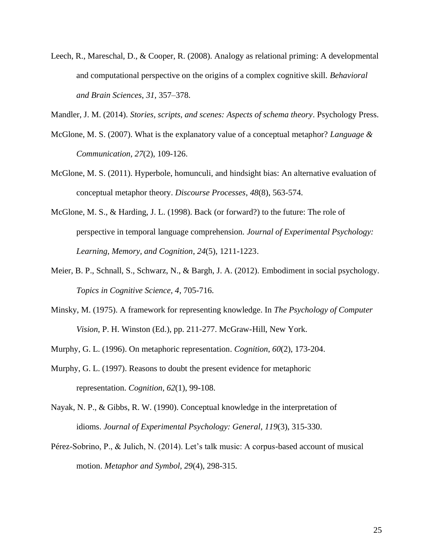Leech, R., Mareschal, D., & Cooper, R. (2008). Analogy as relational priming: A developmental and computational perspective on the origins of a complex cognitive skill. *Behavioral and Brain Sciences*, *31,* 357–378.

Mandler, J. M. (2014). *Stories, scripts, and scenes: Aspects of schema theory*. Psychology Press.

- McGlone, M. S. (2007). What is the explanatory value of a conceptual metaphor? *Language & Communication*, *27*(2), 109-126.
- McGlone, M. S. (2011). Hyperbole, homunculi, and hindsight bias: An alternative evaluation of conceptual metaphor theory. *Discourse Processes*, *48*(8), 563-574.
- McGlone, M. S., & Harding, J. L. (1998). Back (or forward?) to the future: The role of perspective in temporal language comprehension. *Journal of Experimental Psychology: Learning, Memory, and Cognition*, *24*(5), 1211-1223.
- Meier, B. P., Schnall, S., Schwarz, N., & Bargh, J. A. (2012). Embodiment in social psychology. *Topics in Cognitive Science, 4*, 705-716.
- Minsky, M. (1975). A framework for representing knowledge. In *The Psychology of Computer Vision*, P. H. Winston (Ed.), pp. 211-277. McGraw-Hill, New York.
- Murphy, G. L. (1996). On metaphoric representation. *Cognition*, *60*(2), 173-204.
- Murphy, G. L. (1997). Reasons to doubt the present evidence for metaphoric representation. *Cognition*, *62*(1), 99-108.
- Nayak, N. P., & Gibbs, R. W. (1990). Conceptual knowledge in the interpretation of idioms. *Journal of Experimental Psychology: General*, *119*(3), 315-330.
- Pérez-Sobrino, P., & Julich, N. (2014). Let's talk music: A corpus-based account of musical motion. *Metaphor and Symbol*, *29*(4), 298-315.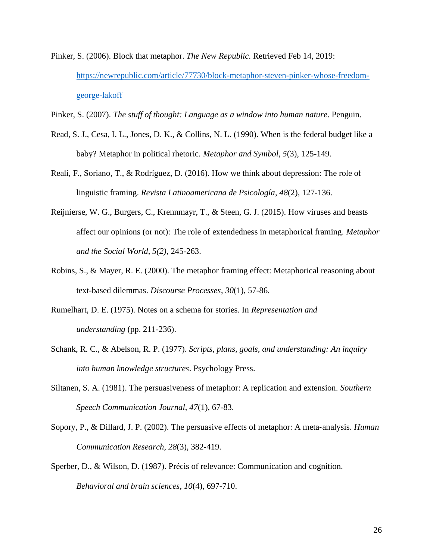- Pinker, S. (2006). Block that metaphor. *The New Republic*. Retrieved Feb 14, 2019: [https://newrepublic.com/article/77730/block-metaphor-steven-pinker-whose-freedom](https://newrepublic.com/article/77730/block-metaphor-steven-pinker-whose-freedom-george-lakoff)[george-lakoff](https://newrepublic.com/article/77730/block-metaphor-steven-pinker-whose-freedom-george-lakoff)
- Pinker, S. (2007). *The stuff of thought: Language as a window into human nature*. Penguin.
- Read, S. J., Cesa, I. L., Jones, D. K., & Collins, N. L. (1990). When is the federal budget like a baby? Metaphor in political rhetoric. *Metaphor and Symbol*, *5*(3), 125-149.
- Reali, F., Soriano, T., & Rodríguez, D. (2016). How we think about depression: The role of linguistic framing. *Revista Latinoamericana de Psicología*, *48*(2), 127-136.
- Reijnierse, W. G., Burgers, C., Krennmayr, T., & Steen, G. J. (2015). How viruses and beasts affect our opinions (or not): The role of extendedness in metaphorical framing. *Metaphor and the Social World, 5(2)*, 245-263.
- Robins, S., & Mayer, R. E. (2000). The metaphor framing effect: Metaphorical reasoning about text-based dilemmas. *Discourse Processes*, *30*(1), 57-86.
- Rumelhart, D. E. (1975). Notes on a schema for stories. In *Representation and understanding* (pp. 211-236).
- Schank, R. C., & Abelson, R. P. (1977). *Scripts, plans, goals, and understanding: An inquiry into human knowledge structures*. Psychology Press.
- Siltanen, S. A. (1981). The persuasiveness of metaphor: A replication and extension. *Southern Speech Communication Journal*, *47*(1), 67-83.
- Sopory, P., & Dillard, J. P. (2002). The persuasive effects of metaphor: A meta‐analysis. *Human Communication Research*, *28*(3), 382-419.
- Sperber, D., & Wilson, D. (1987). Précis of relevance: Communication and cognition. *Behavioral and brain sciences*, *10*(4), 697-710.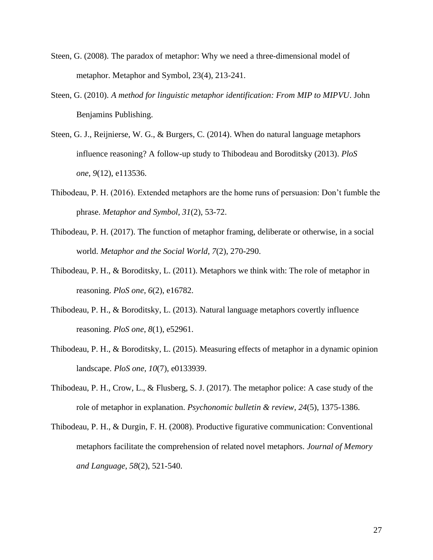- Steen, G. (2008). The paradox of metaphor: Why we need a three-dimensional model of metaphor. Metaphor and Symbol, 23(4), 213-241.
- Steen, G. (2010). *A method for linguistic metaphor identification: From MIP to MIPVU*. John Benjamins Publishing.
- Steen, G. J., Reijnierse, W. G., & Burgers, C. (2014). When do natural language metaphors influence reasoning? A follow-up study to Thibodeau and Boroditsky (2013). *PloS one*, *9*(12), e113536.
- Thibodeau, P. H. (2016). Extended metaphors are the home runs of persuasion: Don't fumble the phrase. *Metaphor and Symbol, 31*(2), 53-72.
- Thibodeau, P. H. (2017). The function of metaphor framing, deliberate or otherwise, in a social world. *Metaphor and the Social World*, *7*(2), 270-290.
- Thibodeau, P. H., & Boroditsky, L. (2011). Metaphors we think with: The role of metaphor in reasoning. *PloS one*, *6*(2), e16782.
- Thibodeau, P. H., & Boroditsky, L. (2013). Natural language metaphors covertly influence reasoning. *PloS one*, *8*(1), e52961.
- Thibodeau, P. H., & Boroditsky, L. (2015). Measuring effects of metaphor in a dynamic opinion landscape. *PloS one*, *10*(7), e0133939.
- Thibodeau, P. H., Crow, L., & Flusberg, S. J. (2017). The metaphor police: A case study of the role of metaphor in explanation. *Psychonomic bulletin & review*, *24*(5), 1375-1386.
- Thibodeau, P. H., & Durgin, F. H. (2008). Productive figurative communication: Conventional metaphors facilitate the comprehension of related novel metaphors. *Journal of Memory and Language*, *58*(2), 521-540.